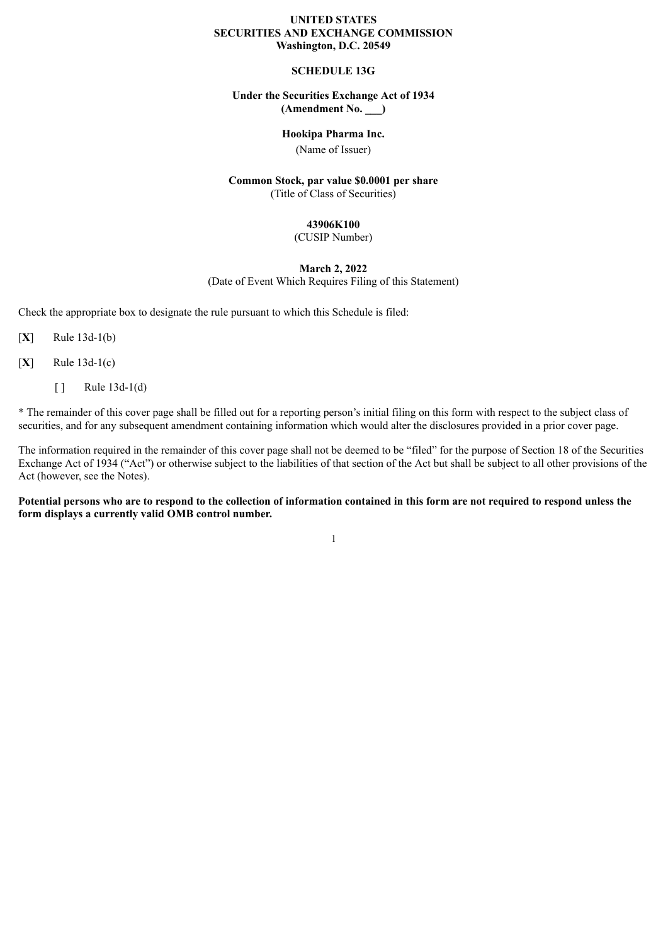#### **UNITED STATES SECURITIES AND EXCHANGE COMMISSION Washington, D.C. 20549**

### **SCHEDULE 13G**

### **Under the Securities Exchange Act of 1934 (Amendment No. \_\_\_)**

### **Hookipa Pharma Inc.**

(Name of Issuer)

#### **Common Stock, par value \$0.0001 per share** (Title of Class of Securities)

#### **43906K100**

(CUSIP Number)

#### **March 2, 2022**

(Date of Event Which Requires Filing of this Statement)

Check the appropriate box to designate the rule pursuant to which this Schedule is filed:

 $[X]$  Rule 13d-1(b)

 $[X]$  Rule 13d-1(c)

 $\lceil \cdot \rceil$  Rule 13d-1(d)

\* The remainder of this cover page shall be filled out for a reporting person's initial filing on this form with respect to the subject class of securities, and for any subsequent amendment containing information which would alter the disclosures provided in a prior cover page.

The information required in the remainder of this cover page shall not be deemed to be "filed" for the purpose of Section 18 of the Securities Exchange Act of 1934 ("Act") or otherwise subject to the liabilities of that section of the Act but shall be subject to all other provisions of the Act (however, see the Notes).

Potential persons who are to respond to the collection of information contained in this form are not required to respond unless the **form displays a currently valid OMB control number.**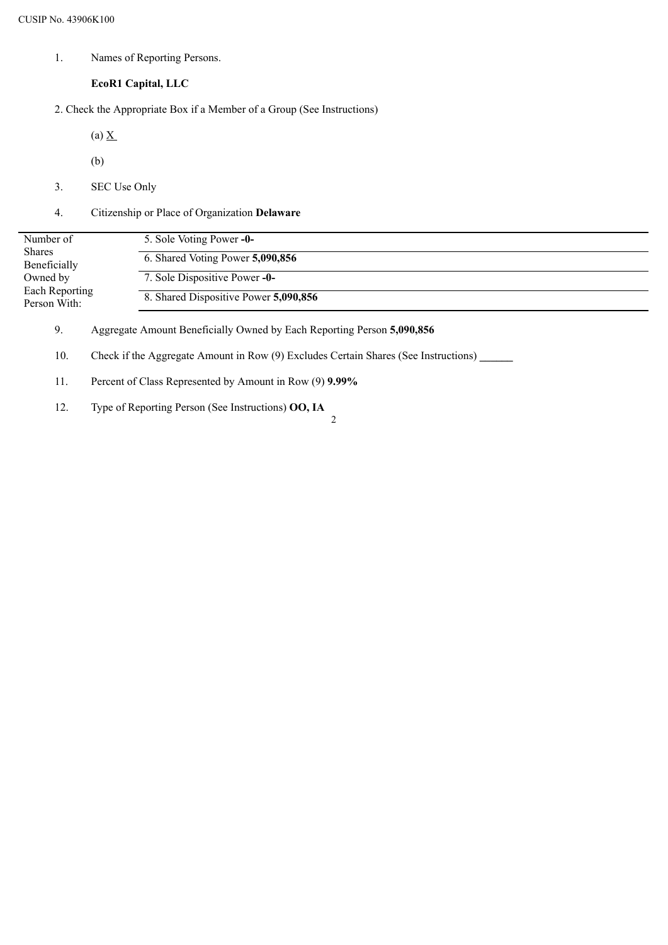1. Names of Reporting Persons.

### **EcoR1 Capital, LLC**

2. Check the Appropriate Box if a Member of a Group (See Instructions)

(a)  $\underline{X}$ 

- (b)
- 3. SEC Use Only
- 4. Citizenship or Place of Organization **Delaware**

| 5. Sole Voting Power -0-              |
|---------------------------------------|
| 6. Shared Voting Power 5,090,856      |
| 7. Sole Dispositive Power -0-         |
| 8. Shared Dispositive Power 5,090,856 |
|                                       |

9. Aggregate Amount Beneficially Owned by Each Reporting Person **5,090,856**

10. Check if the Aggregate Amount in Row (9) Excludes Certain Shares (See Instructions) **\_\_\_\_\_\_**

- 11. Percent of Class Represented by Amount in Row (9) **9.99%**
- 12. Type of Reporting Person (See Instructions) **OO, IA** 2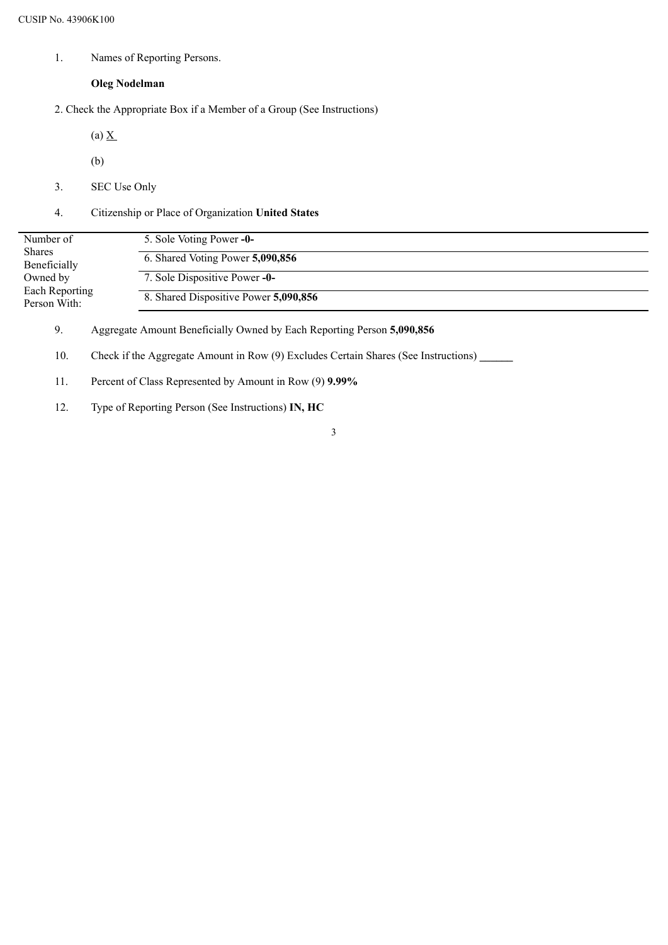1. Names of Reporting Persons.

### **Oleg Nodelman**

- 2. Check the Appropriate Box if a Member of a Group (See Instructions)
	- (a)  $\underline{X}$
	- (b)
- 3. SEC Use Only
- 4. Citizenship or Place of Organization **United States**

| Number of                      | 5. Sole Voting Power -0-              |
|--------------------------------|---------------------------------------|
| <b>Shares</b><br>Beneficially  | 6. Shared Voting Power 5,090,856      |
| Owned by                       | 7. Sole Dispositive Power -0-         |
| Each Reporting<br>Person With: | 8. Shared Dispositive Power 5,090,856 |

9. Aggregate Amount Beneficially Owned by Each Reporting Person **5,090,856**

- 10. Check if the Aggregate Amount in Row (9) Excludes Certain Shares (See Instructions) **\_\_\_\_\_\_**
- 11. Percent of Class Represented by Amount in Row (9) **9.99%**
- 12. Type of Reporting Person (See Instructions) **IN, HC**
- 3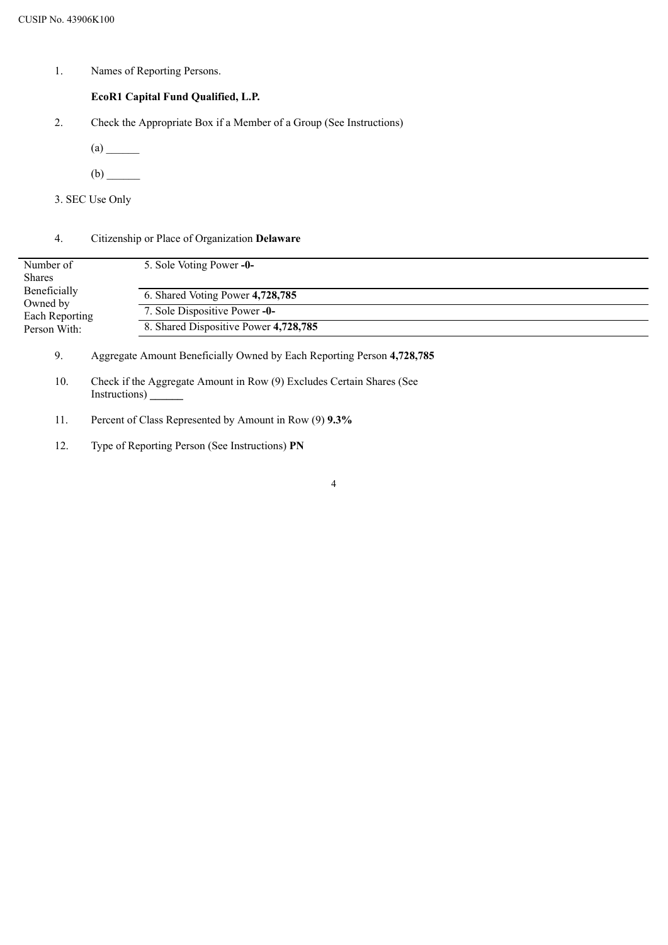1. Names of Reporting Persons.

## **EcoR1 Capital Fund Qualified, L.P.**

- 2. Check the Appropriate Box if a Member of a Group (See Instructions)
	- $(a)$
	- (b) \_\_\_\_\_\_
- 3. SEC Use Only

### 4. Citizenship or Place of Organization **Delaware**

| Number of<br><b>Shares</b> | 5. Sole Voting Power -0-              |
|----------------------------|---------------------------------------|
| Beneficially               | 6. Shared Voting Power 4,728,785      |
| Owned by<br>Each Reporting | 7. Sole Dispositive Power -0-         |
| Person With:               | 8. Shared Dispositive Power 4,728,785 |

9. Aggregate Amount Beneficially Owned by Each Reporting Person **4,728,785**

- 10. Check if the Aggregate Amount in Row (9) Excludes Certain Shares (See Instructions) **\_\_\_\_\_\_**
- 11. Percent of Class Represented by Amount in Row (9) **9.3%**
- 12. Type of Reporting Person (See Instructions) **PN**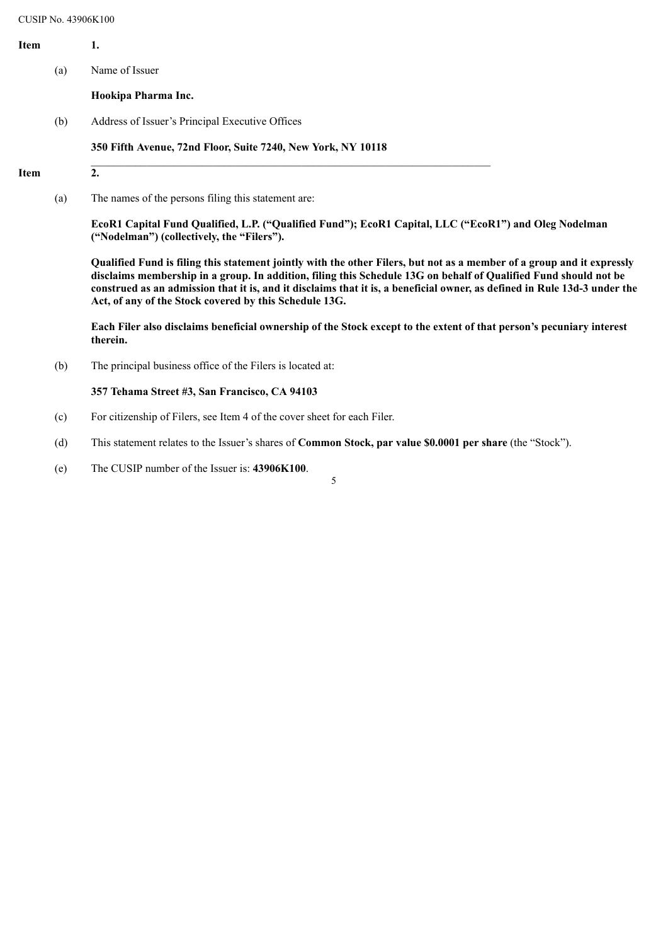| Item        |     | 1.                                                                                                                                                  |
|-------------|-----|-----------------------------------------------------------------------------------------------------------------------------------------------------|
|             | (a) | Name of Issuer                                                                                                                                      |
|             |     | Hookipa Pharma Inc.                                                                                                                                 |
|             | (b) | Address of Issuer's Principal Executive Offices                                                                                                     |
|             |     | 350 Fifth Avenue, 72nd Floor, Suite 7240, New York, NY 10118                                                                                        |
| <b>Item</b> |     | 2.                                                                                                                                                  |
|             | (a) | The names of the persons filing this statement are:                                                                                                 |
|             |     | EcoR1 Capital Fund Qualified, L.P. ("Qualified Fund"); EcoR1 Capital, LLC ("EcoR1") and Oleg Nodelman<br>("Nodelman") (collectively, the "Filers"). |

Qualified Fund is filing this statement jointly with the other Filers, but not as a member of a group and it expressly disclaims membership in a group. In addition, filing this Schedule 13G on behalf of Qualified Fund should not be construed as an admission that it is, and it disclaims that it is, a beneficial owner, as defined in Rule 13d-3 under the **Act, of any of the Stock covered by this Schedule 13G.**

Each Filer also disclaims beneficial ownership of the Stock except to the extent of that person's pecuniary interest **therein.**

(b) The principal business office of the Filers is located at:

#### **357 Tehama Street #3, San Francisco, CA 94103**

- (c) For citizenship of Filers, see Item 4 of the cover sheet for each Filer.
- (d) This statement relates to the Issuer's shares of **Common Stock, par value \$0.0001 per share** (the "Stock").
- (e) The CUSIP number of the Issuer is: **43906K100**.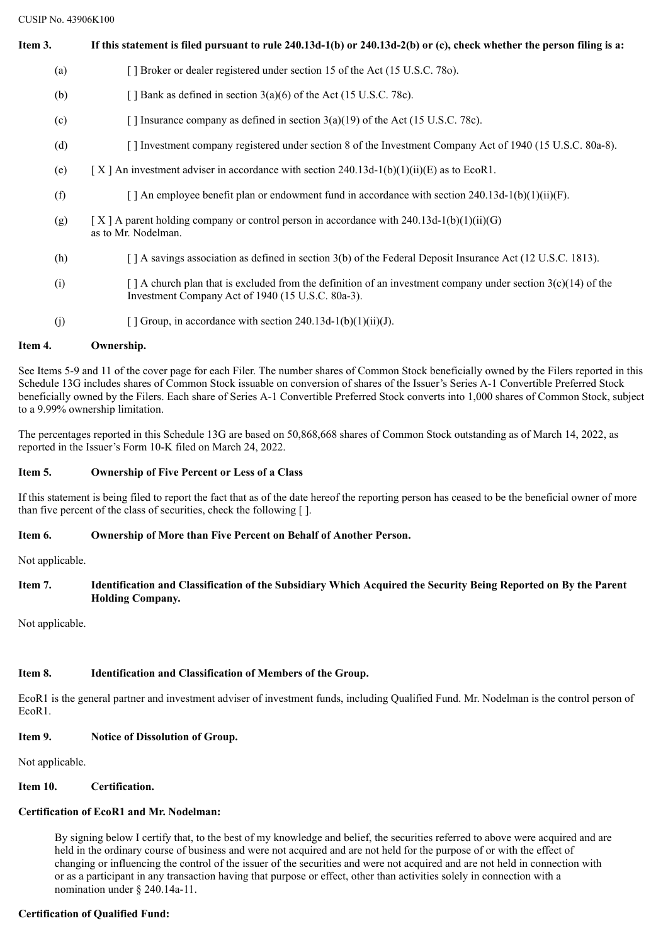CUSIP No. 43906K100

| Item 3. | If this statement is filed pursuant to rule $240.13d-1(b)$ or $240.13d-2(b)$ or (c), check whether the person filing is a:                                              |
|---------|-------------------------------------------------------------------------------------------------------------------------------------------------------------------------|
| (a)     | [] Broker or dealer registered under section 15 of the Act (15 U.S.C. 780).                                                                                             |
| (b)     | [ $\vert$ Bank as defined in section 3(a)(6) of the Act (15 U.S.C. 78c).                                                                                                |
| (c)     | [] Insurance company as defined in section $3(a)(19)$ of the Act (15 U.S.C. 78c).                                                                                       |
| (d)     | [] Investment company registered under section 8 of the Investment Company Act of 1940 (15 U.S.C. 80a-8).                                                               |
| (e)     | [X] An investment adviser in accordance with section 240.13d-1(b)(1)(ii)(E) as to EcoR1.                                                                                |
| (f)     | [ ] An employee benefit plan or endowment fund in accordance with section 240.13d-1(b)(1)(ii)(F).                                                                       |
| (g)     | [X ] A parent holding company or control person in accordance with $240.13d-1(b)(1)(ii)(G)$<br>as to Mr. Nodelman.                                                      |
| (h)     | [] A savings association as defined in section 3(b) of the Federal Deposit Insurance Act (12 U.S.C. 1813).                                                              |
| (i)     | $\lceil$ A church plan that is excluded from the definition of an investment company under section 3(c)(14) of the<br>Investment Company Act of 1940 (15 U.S.C. 80a-3). |
| (j)     | Group, in accordance with section 240.13d-1(b)(1)(ii)(J).                                                                                                               |

## **Item 4. Ownership.**

See Items 5-9 and 11 of the cover page for each Filer. The number shares of Common Stock beneficially owned by the Filers reported in this Schedule 13G includes shares of Common Stock issuable on conversion of shares of the Issuer's Series A-1 Convertible Preferred Stock beneficially owned by the Filers. Each share of Series A-1 Convertible Preferred Stock converts into 1,000 shares of Common Stock, subject to a 9.99% ownership limitation.

The percentages reported in this Schedule 13G are based on 50,868,668 shares of Common Stock outstanding as of March 14, 2022, as reported in the Issuer's Form 10-K filed on March 24, 2022.

## **Item 5. Ownership of Five Percent or Less of a Class**

If this statement is being filed to report the fact that as of the date hereof the reporting person has ceased to be the beneficial owner of more than five percent of the class of securities, check the following [ ].

## **Item 6. Ownership of More than Five Percent on Behalf of Another Person.**

Not applicable.

Item 7. Identification and Classification of the Subsidiary Which Acquired the Security Being Reported on By the Parent **Holding Company.**

Not applicable.

## **Item 8. Identification and Classification of Members of the Group.**

EcoR1 is the general partner and investment adviser of investment funds, including Qualified Fund. Mr. Nodelman is the control person of EcoR1.

## **Item 9. Notice of Dissolution of Group.**

Not applicable.

## **Item 10. Certification.**

# **Certification of EcoR1 and Mr. Nodelman:**

By signing below I certify that, to the best of my knowledge and belief, the securities referred to above were acquired and are held in the ordinary course of business and were not acquired and are not held for the purpose of or with the effect of changing or influencing the control of the issuer of the securities and were not acquired and are not held in connection with or as a participant in any transaction having that purpose or effect, other than activities solely in connection with a nomination under § 240.14a-11.

## **Certification of Qualified Fund:**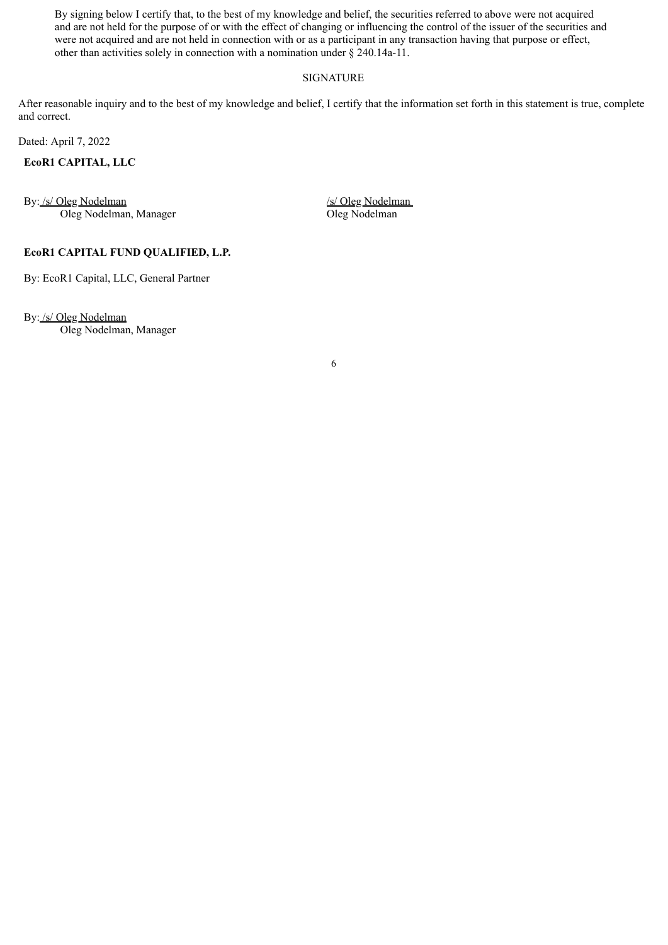By signing below I certify that, to the best of my knowledge and belief, the securities referred to above were not acquired and are not held for the purpose of or with the effect of changing or influencing the control of the issuer of the securities and were not acquired and are not held in connection with or as a participant in any transaction having that purpose or effect, other than activities solely in connection with a nomination under § 240.14a-11.

#### SIGNATURE

After reasonable inquiry and to the best of my knowledge and belief, I certify that the information set forth in this statement is true, complete and correct.

Dated: April 7, 2022

#### **EcoR1 CAPITAL, LLC**

By: /s/ Oleg Nodelman Oleg Nodelman, Manager /s/ Oleg Nodelman Oleg Nodelman

## **EcoR1 CAPITAL FUND QUALIFIED, L.P.**

By: EcoR1 Capital, LLC, General Partner

By: /s/ Oleg Nodelman

Oleg Nodelman, Manager